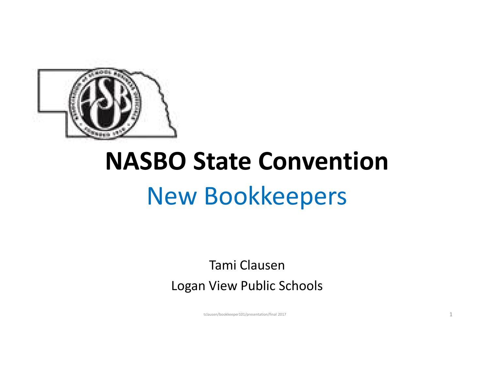

# **NASBO State Convention** New Bookkeepers

Tami Clausen Logan View Public Schools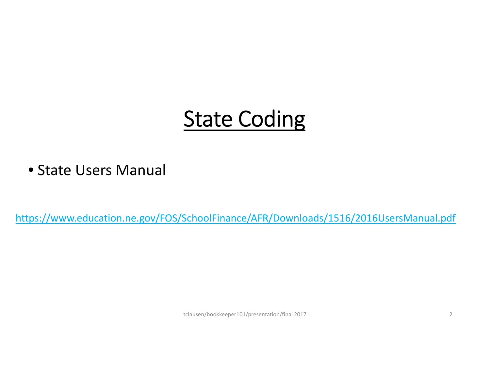# **State Coding**

• State Users Manual

https://www.education.ne.gov/FOS/SchoolFinance/AFR/Downloads/1516/2016UsersManual.pdf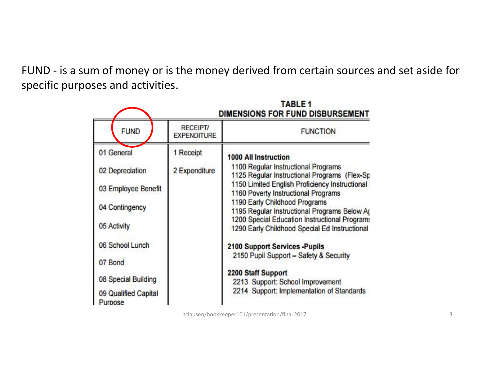FUND - is a sum of money or is the money derived from certain sources and set aside for specific purposes and activities.

|                                 |                                       | <b>TABLE 1</b><br><b>DIMENSIONS FOR FUND DISBURSEMENT</b>                                                                                      |  |  |  |  |  |
|---------------------------------|---------------------------------------|------------------------------------------------------------------------------------------------------------------------------------------------|--|--|--|--|--|
| <b>FUND</b>                     | <b>RECEIPT/</b><br><b>EXPENDITURE</b> | <b>FUNCTION</b>                                                                                                                                |  |  |  |  |  |
| 01 General                      | 1 Receipt                             | <b>1000 All Instruction</b>                                                                                                                    |  |  |  |  |  |
| 02 Depreciation                 | 2 Expenditure                         | 1100 Regular Instructional Programs<br>1125 Regular Instructional Programs (Flex-Sp                                                            |  |  |  |  |  |
| 03 Employee Benefit             |                                       | 1150 Limited English Proficiency Instructional<br>1160 Poverty Instructional Programs                                                          |  |  |  |  |  |
| 04 Contingency                  |                                       | 1190 Early Childhood Programs                                                                                                                  |  |  |  |  |  |
| 05 Activity                     |                                       | 1195 Regular Instructional Programs Below Ag<br>1200 Special Education Instructional Programs<br>1290 Early Childhood Special Ed Instructional |  |  |  |  |  |
| 06 School Lunch                 |                                       | 2100 Support Services - Pupils                                                                                                                 |  |  |  |  |  |
| 07 Bond                         |                                       | 2150 Pupil Support - Safety & Security                                                                                                         |  |  |  |  |  |
| 08 Special Building             |                                       | 2200 Staff Support<br>2213 Support: School Improvement                                                                                         |  |  |  |  |  |
| 09 Qualified Capital<br>Purpose |                                       | 2214 Support: Implementation of Standards                                                                                                      |  |  |  |  |  |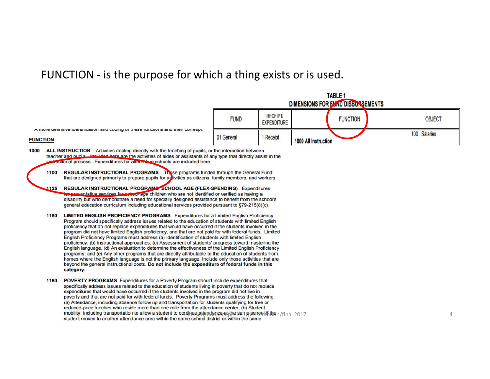FUNCTION - is the purpose for which a thing exists or is used.

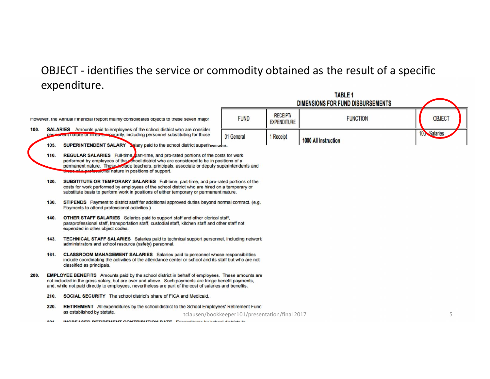#### OBJECT - identifies the service or commodity obtained as the result of a specific expenditure. **TARLE 1**

|      |                                                                                                                                                                                                                                                                                                                                              |                                                                                                                                                                                                                                                                                                                          | <b>INDLLI</b><br>DIMENSIONS FOR FUND DISBURSEMENTS |                                       |                             |                 |  |  |              |   |  |
|------|----------------------------------------------------------------------------------------------------------------------------------------------------------------------------------------------------------------------------------------------------------------------------------------------------------------------------------------------|--------------------------------------------------------------------------------------------------------------------------------------------------------------------------------------------------------------------------------------------------------------------------------------------------------------------------|----------------------------------------------------|---------------------------------------|-----------------------------|-----------------|--|--|--------------|---|--|
|      |                                                                                                                                                                                                                                                                                                                                              | However, the Annual Financial Report mainly consolidates objects to these seven major                                                                                                                                                                                                                                    | <b>FUND</b>                                        | <b>RECEIPT/</b><br><b>EXPENDITURE</b> |                             | <b>FUNCTION</b> |  |  | OBJECT       |   |  |
| 100. | 105.                                                                                                                                                                                                                                                                                                                                         | <b>SALARIES</b> Amounts paid to employees of the school district who are consider<br>permanent nature or nireo temporarily, including personnel substituting for those<br>SUPERINTENDENT SALARY Salary paid to the school district superintendent.                                                                       | 01 General                                         | 1 Receipt                             | <b>1000 All Instruction</b> |                 |  |  | 100 Salaries |   |  |
|      | REGULAR SALARIES Full-time, part-time, and pro-rated portions of the costs for work<br>110.<br>performed by employees of the school district who are considered to be in positions of a<br>permanent nature. These include teachers, principals, associate or deputy superintendents and<br>f a prefectional nature in positions of support. |                                                                                                                                                                                                                                                                                                                          |                                                    |                                       |                             |                 |  |  |              |   |  |
|      | 120.                                                                                                                                                                                                                                                                                                                                         | SUBSTITUTE OR TEMPORARY SALARIES Full-time, part-time, and pro-rated portions of the<br>costs for work performed by employees of the school district who are hired on a temporary or<br>substitute basis to perform work in positions of either temporary or permanent nature.                                           |                                                    |                                       |                             |                 |  |  |              |   |  |
|      | 130.                                                                                                                                                                                                                                                                                                                                         | <b>STIPENDS</b> Payment to district staff for additional approved duties beyond normal contract. (e.g.<br>Payments to attend professional activities.)                                                                                                                                                                   |                                                    |                                       |                             |                 |  |  |              |   |  |
|      | 140.                                                                                                                                                                                                                                                                                                                                         | <b>OTHER STAFF SALARIES</b> Salaries paid to support staff and other clerical staff.<br>paraprofessional staff, transportation staff, custodial staff, kitchen staff and other staff not<br>expended in other object codes.                                                                                              |                                                    |                                       |                             |                 |  |  |              |   |  |
|      | 143.                                                                                                                                                                                                                                                                                                                                         | <b>TECHNICAL STAFF SALARIES</b> Salaries paid to technical support personnel, including network<br>administrators and school resource (safety) personnel.                                                                                                                                                                |                                                    |                                       |                             |                 |  |  |              |   |  |
|      | 161.                                                                                                                                                                                                                                                                                                                                         | <b>CLASSROOM MANAGEMENT SALARIES</b> Salaries paid to personnel whose responsibilities<br>include coordinating the activities of the attendance center or school and its staff but who are not<br>classified as principals.                                                                                              |                                                    |                                       |                             |                 |  |  |              |   |  |
| 200. |                                                                                                                                                                                                                                                                                                                                              | <b>EMPLOYEE BENEFITS</b> Amounts paid by the school district in behalf of employees. These amounts are<br>not included in the gross salary, but are over and above. Such payments are fringe benefit payments,<br>and, while not paid directly to employees, nevertheless are part of the cost of salaries and benefits. |                                                    |                                       |                             |                 |  |  |              |   |  |
|      | 210.                                                                                                                                                                                                                                                                                                                                         | <b>SOCIAL SECURITY</b> The school district's share of FICA and Medicaid.                                                                                                                                                                                                                                                 |                                                    |                                       |                             |                 |  |  |              |   |  |
|      | 220.                                                                                                                                                                                                                                                                                                                                         | RETIREMENT All expenditures by the school district to the School Employees' Retirement Fund<br>as established by statute.                                                                                                                                                                                                | tclausen/bookkeeper101/presentation/final 2017     |                                       |                             |                 |  |  |              | 5 |  |
|      | 994                                                                                                                                                                                                                                                                                                                                          | INPOEACED DETIDEMENT PONTDIDITION DATE Evangelisma by ashard districts to                                                                                                                                                                                                                                                |                                                    |                                       |                             |                 |  |  |              |   |  |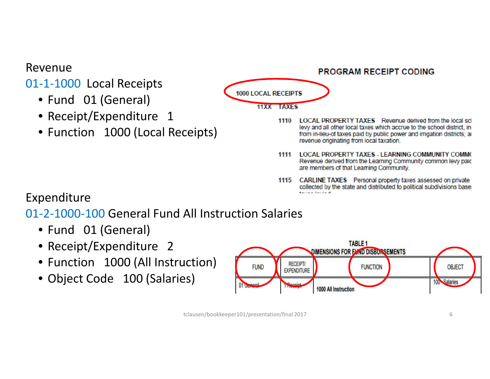### Revenue

### 01-1-1000 Local Receipts

- Fund 01 (General)
- Receipt/Expenditure 1
- Function 1000 (Local Receipts)



- 1110 LOCAL PROPERTY TAXES Revenue derived from the local scl levy and all other local taxes which accrue to the school district, in from in-lieu-of taxes paid by public power and irrigation districts; an revenue originating from local taxation.
- 1111 LOCAL PROPERTY TAXES LEARNING COMMUNITY COMMO Revenue derived from the Learning Community common levy paid are members of that Learning Community.
- 1115 **CARLINE TAXES** Personal property taxes assessed on private collected by the state and distributed to political subdivisions base Antique Territoria

### Expenditure

01-2-1000-100 General Fund All Instruction Salaries

- Fund 01 (General)
- Receipt/Expenditure 2
- Function 1000 (All Instruction)
- Object Code 100 (Salaries)

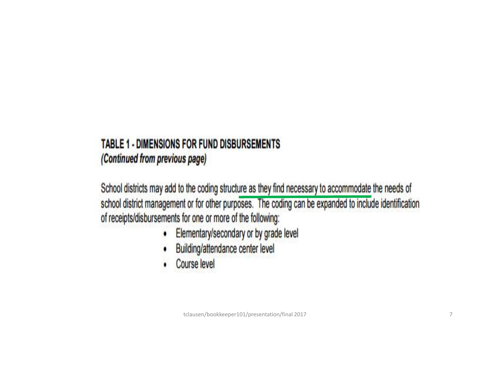### TABLE 1 - DIMENSIONS FOR FUND DISBURSEMENTS (Continued from previous page)

School districts may add to the coding structure as they find necessary to accommodate the needs of school district management or for other purposes. The coding can be expanded to include identification of receipts/disbursements for one or more of the following:

- Elementary/secondary or by grade level  $\bullet$
- Building/attendance center level
- Course level W.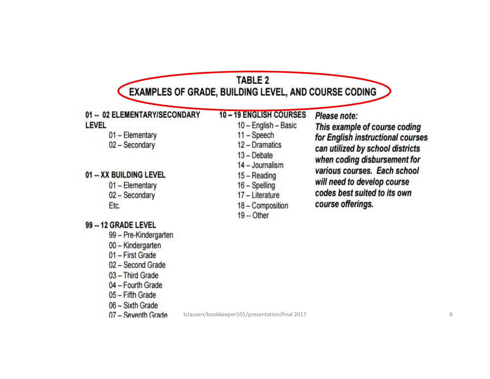| 01 -- 02 ELEMENTARY/SECONDARY<br><b>LEVEL</b><br>01 - Elementary<br>02 - Secondary<br>01 -- XX BUILDING LEVEL<br>01 - Elementary<br>02 - Secondary<br>Etc. | 10 - 19 ENGLISH COURSES<br>10 - English - Basic<br>$11 -$ Speech<br>12 - Dramatics<br>13 - Debate<br>14 - Journalism<br>$15 - Reading$<br>$16 - Spelling$<br>17 - Literature<br>18 - Composition<br>$19 -$ Other | Please note:<br>This example of course coding<br>for English instructional courses<br>can utilized by school districts<br>when coding disbursement for<br>various courses. Each school<br>will need to develop course<br>codes best suited to its own<br>course offerings. |
|------------------------------------------------------------------------------------------------------------------------------------------------------------|------------------------------------------------------------------------------------------------------------------------------------------------------------------------------------------------------------------|----------------------------------------------------------------------------------------------------------------------------------------------------------------------------------------------------------------------------------------------------------------------------|
| 99 -- 12 GRADE LEVEL                                                                                                                                       |                                                                                                                                                                                                                  |                                                                                                                                                                                                                                                                            |
| 99 - Pre-Kindergarten<br>00 - Kindergarten                                                                                                                 |                                                                                                                                                                                                                  |                                                                                                                                                                                                                                                                            |
| 01 - First Grade                                                                                                                                           |                                                                                                                                                                                                                  |                                                                                                                                                                                                                                                                            |
| 02 - Second Grade                                                                                                                                          |                                                                                                                                                                                                                  |                                                                                                                                                                                                                                                                            |
| 03 - Third Grade<br>04 - Fourth Grade                                                                                                                      |                                                                                                                                                                                                                  |                                                                                                                                                                                                                                                                            |
| 05 - Fifth Grade                                                                                                                                           |                                                                                                                                                                                                                  |                                                                                                                                                                                                                                                                            |
| 06 - Sixth Grade                                                                                                                                           |                                                                                                                                                                                                                  |                                                                                                                                                                                                                                                                            |
| 07 - Seventh Grade                                                                                                                                         | tclausen/bookkeeper101/presentation/final 2017                                                                                                                                                                   |                                                                                                                                                                                                                                                                            |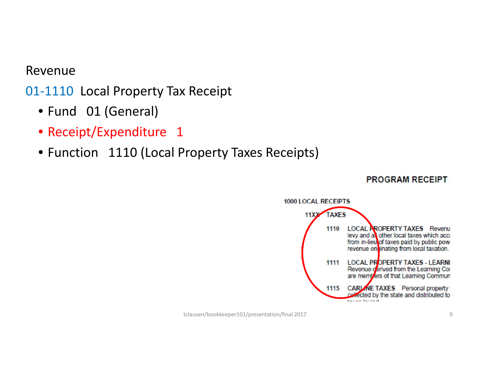### Revenue

01-1110 Local Property Tax Receipt

- Fund 01 (General)
- Receipt/Expenditure 1
- Function 1110 (Local Property Taxes Receipts)



**PROGRAM RECEIPT**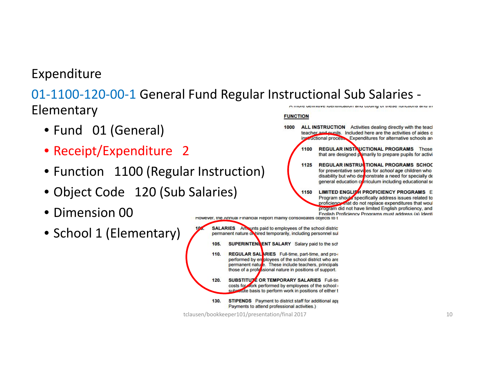### Expenditure

#### 01-1100-120-00-1 General Fund Regular Instructional Sub Salaries - Elementary A multi utilimiye iyemincangi ang cognig or pitate ng cogni ang pi

105.

110.

120.

- Fund 01 (General)
- Receipt/Expenditure 2
- Function 1100 (Regular Instruction)
- Object Code 120 (Sub Salaries)
- Dimension 00
- School 1 (Elementary) The SALARIES Amounts paid to employees of the school districe

**FUNCTION** 1000 **ALL INSTRUCTION** Activities dealing directly with the teach teacher and punils. Included here are the activities of aides o ing auctional process. Expenditures for alternative schools an REGULAR INSTRUCTIONAL PROGRAMS Those 1100 that are designed primarily to prepare pupils for activi 1125 **REGULAR INSTRUCTIONAL PROGRAMS SCHOOL** for preventative services for school age children who disability but who dernonstrate a need for specially de general education corriculum including educational se LIMITED ENGLISH PROFICIENCY PROGRAMS E 1150 Program should specifically address issues related to proficiency mat do not replace expenditures that would program did not have limited English proficiency, and Fnglish Proficiency Programs must address (a) Identi However, the Annual Financial Report mainly consolidates objects to t **SUPERINTENNENT SALARY** Salary paid to the sch REGULAR SAL ARIES Full-time, part-time, and properformed by en ployees of the school district who are permanent natule. These include teachers, principals those of a professional nature in positions of support. SUBSTITUTE OR TEMPORARY SALARIES Full-tin costs for york performed by employees of the school substitute basis to perform work in positions of either t

 $130.$ **STIPENDS** Payment to district staff for additional app Payments to attend professional activities.)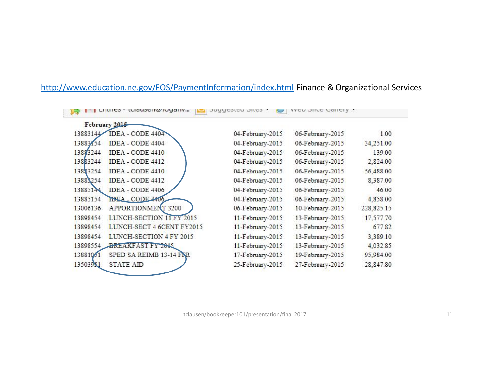#### http://www.education.ne.gov/FOS/PaymentInformation/index.html Finance & Organizational Services

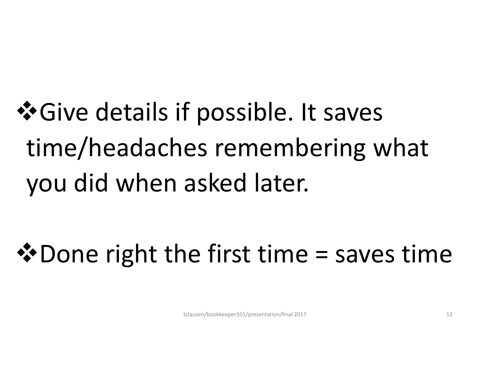Give details if possible. It saves time/headaches remembering what you did when asked later.

 $\lozenge$  Done right the first time = saves time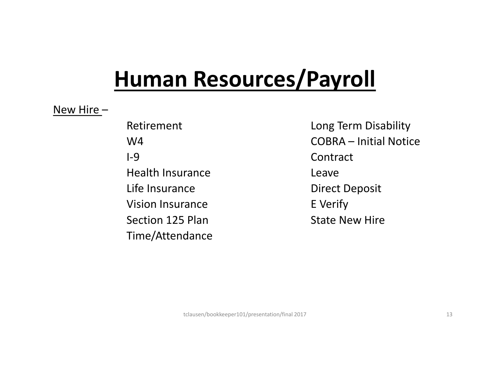# **Human Resources/Payroll**

#### New Hire –

Retirement W4  $I-9$ Health Insurance Life Insurance Vision Insurance Section 125 Plan Time/Attendance

Long Term Disability COBRA – Initial Notice Contract Leave Direct Deposit E Verify State New Hire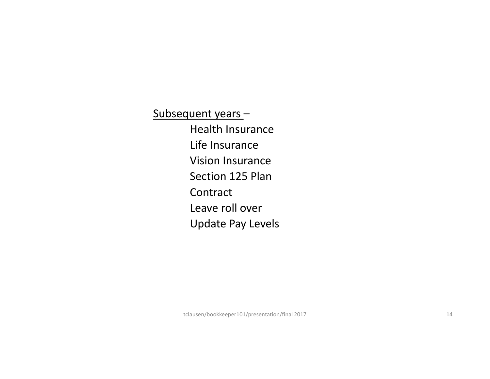Subsequent years -

Health Insurance Life Insurance Vision Insurance Section 125 Plan Contract Leave roll over Update Pay Levels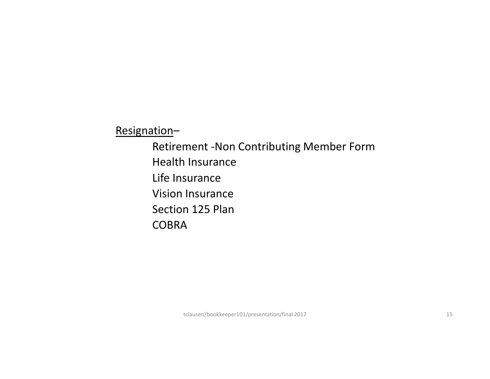Resignation–

Retirement -Non Contributing Member Form Health Insurance Life Insurance Vision Insurance Section 125 Plan COBRA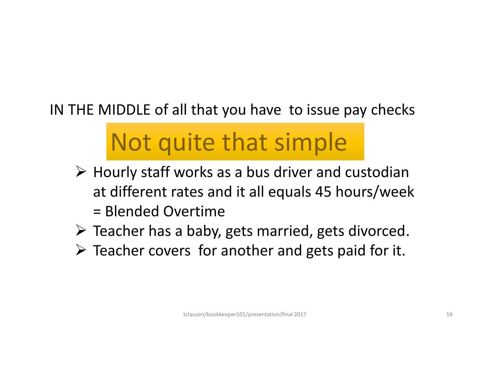## IN THE MIDDLE of all that you have to issue pay checks

# Not quite that simple

- $\triangleright$  Hourly staff works as a bus driver and custodian at different rates and it all equals 45 hours/week = Blended Overtime
- $\triangleright$  Teacher has a baby, gets married, gets divorced.
- $\triangleright$  Teacher covers for another and gets paid for it.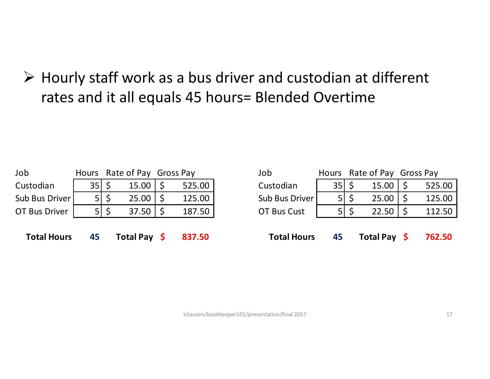$\triangleright$  Hourly staff work as a bus driver and custodian at different rates and it all equals 45 hours= Blended Overtime

| Job                  |      |         | Hours Rate of Pay Gross Pay |        | Job                |     | Hours Rate of Pay Gross Pay |        |
|----------------------|------|---------|-----------------------------|--------|--------------------|-----|-----------------------------|--------|
| Custodian            | 35 S |         | $15.00$   \$                | 525.00 | Custodian          | 35  | 15.00                       | 525.00 |
| Sub Bus Driver       |      | $51$ \$ | $25.00$   \$                | 125.00 | Sub Bus Driver     | 5   | 25.00                       | 125.00 |
| <b>OT Bus Driver</b> |      | $51$ \$ | $37.50$   \$                | 187.50 | OT Bus Cust        | 5 I | 22.50                       | 112.50 |
| <b>Total Hours</b>   | 45   |         | Total Pay \$                | 837.50 | <b>Total Hours</b> | 45  | <b>Total Pay</b>            | 762.50 |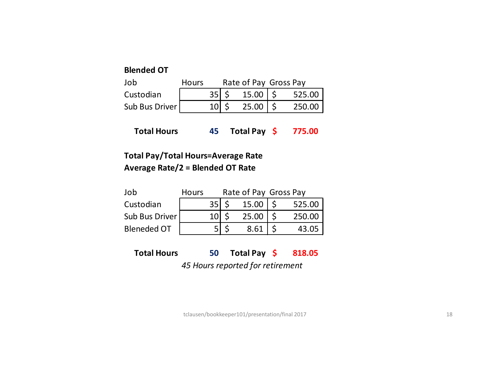#### **Blended OT**

| Job            | <b>Hours</b> |                                |           | Rate of Pay Gross Pay |        |
|----------------|--------------|--------------------------------|-----------|-----------------------|--------|
| Custodian      |              |                                | $35$   \$ | $15.00$ S             | 525.00 |
| Sub Bus Driver |              | $10\overline{\smash{\big)}\,}$ |           | $25.00$   \$          | 250.00 |

| <b>Total Hours</b> |  | 45 Total Pay \$ |  | 775.00 |
|--------------------|--|-----------------|--|--------|
|--------------------|--|-----------------|--|--------|

#### **Total Pay/Total Hours=Average Rate Average Rate/2 = Blended OT Rate**

| Job                | <b>Hours</b> |                 | Rate of Pay Gross Pay |        |
|--------------------|--------------|-----------------|-----------------------|--------|
| Custodian          |              | 35 <sub>1</sub> | 15.00                 | 525.00 |
| Sub Bus Driver     |              | 10 <sup>1</sup> | 25.00                 | 250.00 |
| <b>Bleneded OT</b> |              |                 | 8.61                  | 43.05  |

**Total Hours 50 Total Pay \$ 818.05** *45 Hours reported for retirement*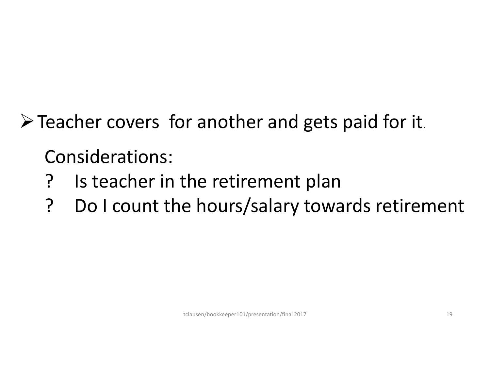$\triangleright$  Teacher covers for another and gets paid for it.

Considerations:

- ? Is teacher in the retirement plan
- ? Do I count the hours/salary towards retirement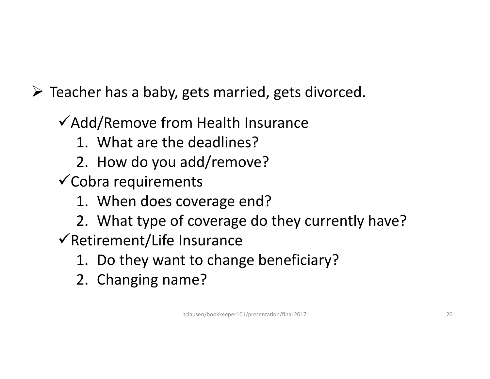$\triangleright$  Teacher has a baby, gets married, gets divorced.

Add/Remove from Health Insurance

- 1. What are the deadlines?
- 2. How do you add/remove?
- $\checkmark$  Cobra requirements
	- 1. When does coverage end?
	- 2. What type of coverage do they currently have?
- $\sqrt{\text{Retirement/L}}$  Insurance
	- 1. Do they want to change beneficiary?
	- 2. Changing name?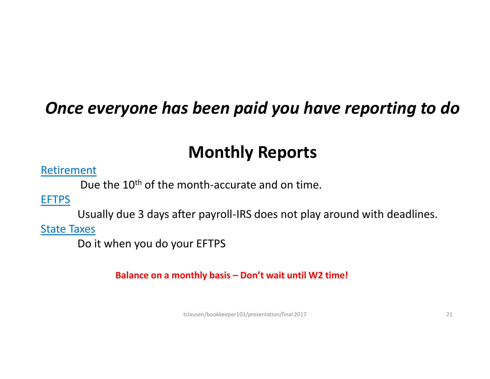## *Once everyone has been paid you have reporting to do*

## **Monthly Reports**

**Retirement** 

Due the 10<sup>th</sup> of the month-accurate and on time.

EFTPS

Usually due 3 days after payroll-IRS does not play around with deadlines.

**State Taxes** 

Do it when you do your EFTPS

**Balance on a monthly basis – Don't wait until W2 time!**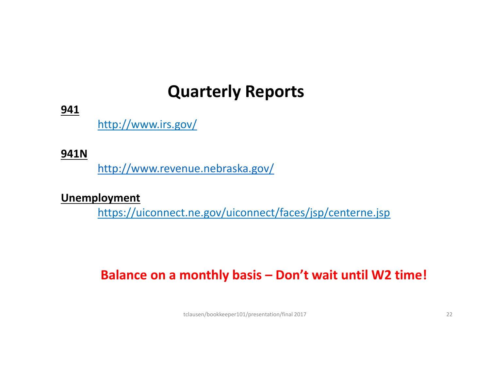## **Quarterly Reports**

**941**

http://www.irs.gov/

**941N**

http://www.revenue.nebraska.gov/

**Unemployment**

https://uiconnect.ne.gov/uiconnect/faces/jsp/centerne.jsp

### **Balance on a monthly basis – Don't wait until W2 time!**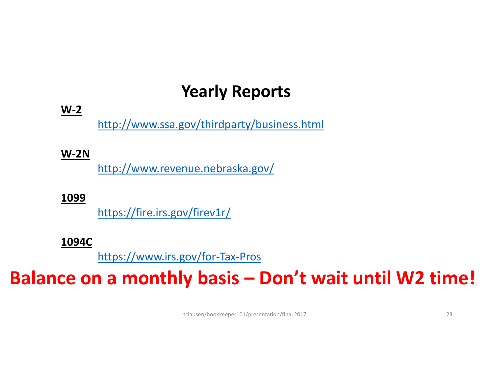## **Yearly Reports**

### **W-2**

http://www.ssa.gov/thirdparty/business.html

#### **W-2N**

http://www.revenue.nebraska.gov/

#### **1099**

https://fire.irs.gov/firev1r/

### **1094C**

https://www.irs.gov/for-Tax-Pros

## **Balance on a monthly basis – Don't wait until W2 time!**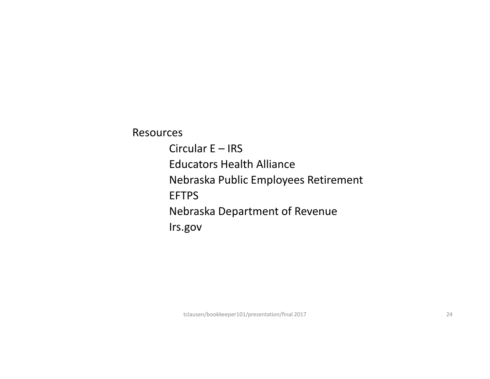Resources

Circular E – IRS Educators Health Alliance Nebraska Public Employees Retirement EFTPS Nebraska Department of Revenue Irs.gov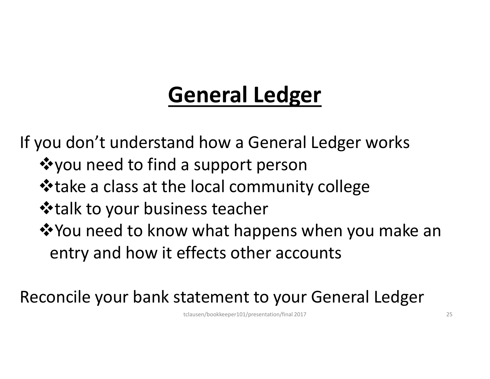# **General Ledger**

If you don't understand how a General Ledger works

- you need to find a support person
- **V**\* take a class at the local community college
- **\*** talk to your business teacher
- **\*** You need to know what happens when you make an entry and how it effects other accounts

Reconcile your bank statement to your General Ledger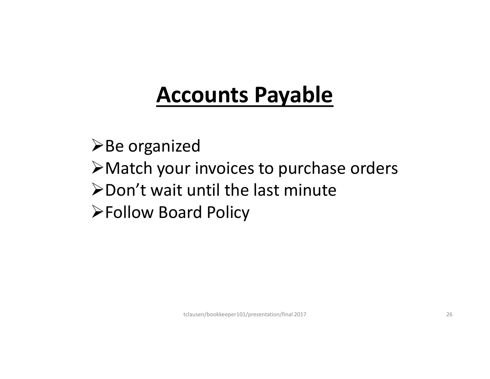# **Accounts Payable**

 $\triangleright$  Be organized

- Match your invoices to purchase orders
- Don't wait until the last minute
- Follow Board Policy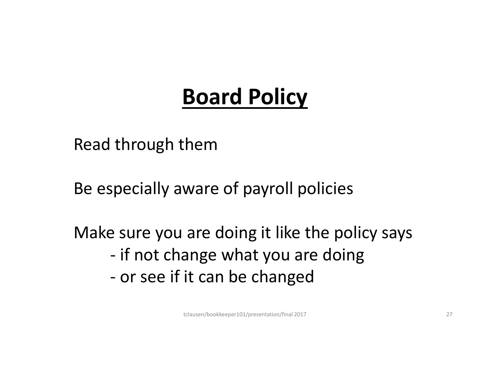# **Board Policy**

Read through them

Be especially aware of payroll policies

Make sure you are doing it like the policy says - if not change what you are doing - or see if it can be changed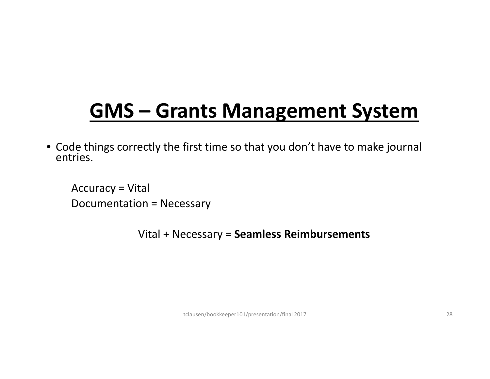## **GMS – Grants Management System**

• Code things correctly the first time so that you don't have to make journal entries.

Accuracy = Vital Documentation = Necessary

Vital + Necessary = **Seamless Reimbursements**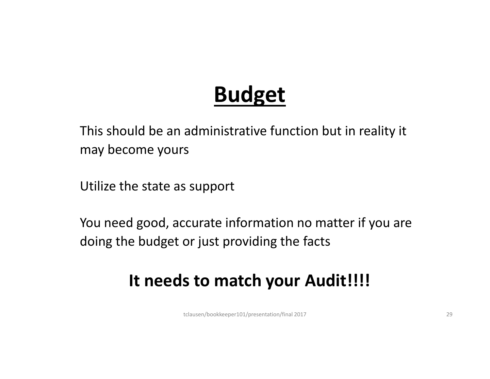# **Budget**

This should be an administrative function but in reality it may become yours

Utilize the state as support

You need good, accurate information no matter if you are doing the budget or just providing the facts

## **It needs to match your Audit!!!!**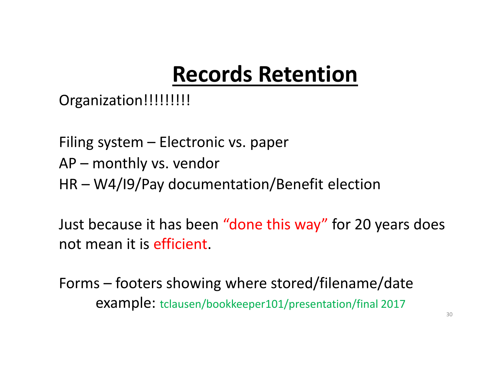# **Records Retention**

Organization!!!!!!!!!

Filing system – Electronic vs. paper AP – monthly vs. vendor HR – W4/I9/Pay documentation/Benefit election

Just because it has been "done this way" for 20 years does not mean it is efficient.

Forms – footers showing where stored/filename/date example: tclausen/bookkeeper101/presentation/final 2017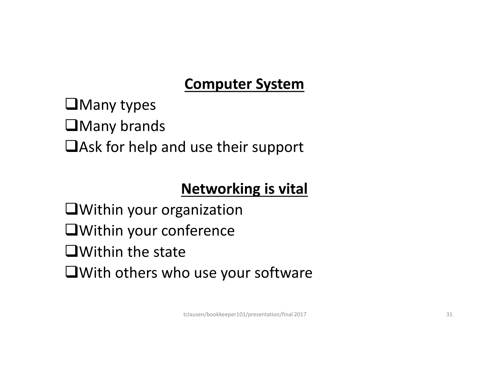## **Computer System**

- **O**Many types
- **OMany brands**
- **The Strath and use their support**

### **Networking is vital**

Within your organization Within your conference **O**Within the state With others who use your software